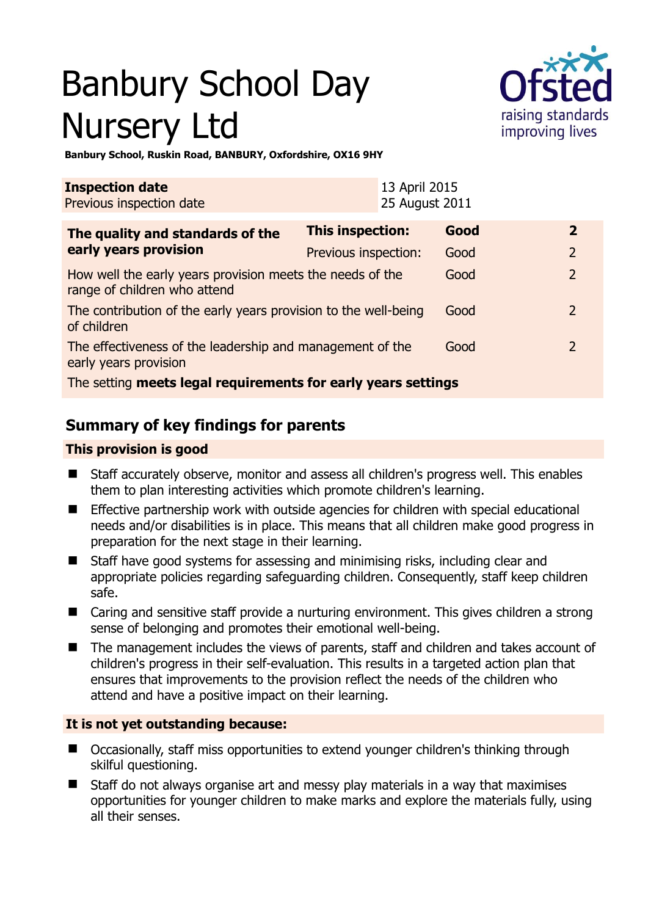# Banbury School Day Nursery Ltd



**Banbury School, Ruskin Road, BANBURY, Oxfordshire, OX16 9HY** 

| <b>Inspection date</b><br>Previous inspection date                                        | 13 April 2015<br>25 August 2011 |      |                |
|-------------------------------------------------------------------------------------------|---------------------------------|------|----------------|
| The quality and standards of the<br>early years provision                                 | <b>This inspection:</b>         | Good | $\mathbf{2}$   |
|                                                                                           | Previous inspection:            | Good | $\overline{2}$ |
| How well the early years provision meets the needs of the<br>range of children who attend |                                 | Good | $\overline{2}$ |
| The contribution of the early years provision to the well-being<br>of children            |                                 | Good | $\mathcal{P}$  |
| The effectiveness of the leadership and management of the<br>early years provision        |                                 | Good | $\mathcal{L}$  |
| The setting meets legal requirements for early years settings                             |                                 |      |                |

# **Summary of key findings for parents**

## **This provision is good**

- Staff accurately observe, monitor and assess all children's progress well. This enables them to plan interesting activities which promote children's learning.
- Effective partnership work with outside agencies for children with special educational needs and/or disabilities is in place. This means that all children make good progress in preparation for the next stage in their learning.
- Staff have good systems for assessing and minimising risks, including clear and appropriate policies regarding safeguarding children. Consequently, staff keep children safe.
- Caring and sensitive staff provide a nurturing environment. This gives children a strong sense of belonging and promotes their emotional well-being.
- The management includes the views of parents, staff and children and takes account of children's progress in their self-evaluation. This results in a targeted action plan that ensures that improvements to the provision reflect the needs of the children who attend and have a positive impact on their learning.

# **It is not yet outstanding because:**

- Occasionally, staff miss opportunities to extend younger children's thinking through skilful questioning.
- Staff do not always organise art and messy play materials in a way that maximises opportunities for younger children to make marks and explore the materials fully, using all their senses.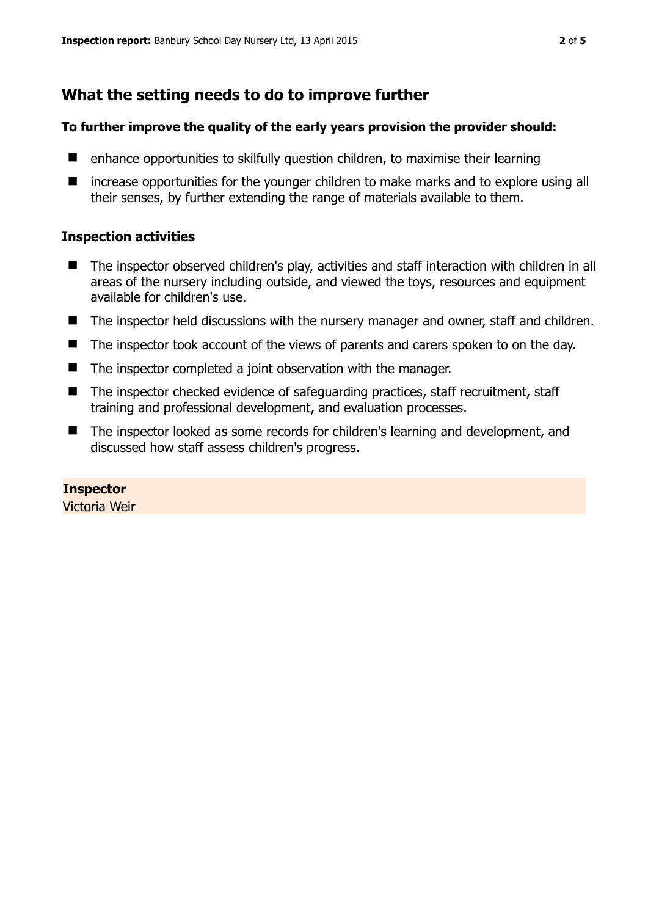# **What the setting needs to do to improve further**

## **To further improve the quality of the early years provision the provider should:**

- $\blacksquare$  enhance opportunities to skilfully question children, to maximise their learning
- $\blacksquare$  increase opportunities for the younger children to make marks and to explore using all their senses, by further extending the range of materials available to them.

## **Inspection activities**

- The inspector observed children's play, activities and staff interaction with children in all areas of the nursery including outside, and viewed the toys, resources and equipment available for children's use.
- The inspector held discussions with the nursery manager and owner, staff and children.
- The inspector took account of the views of parents and carers spoken to on the day.
- The inspector completed a joint observation with the manager.
- The inspector checked evidence of safeguarding practices, staff recruitment, staff training and professional development, and evaluation processes.
- The inspector looked as some records for children's learning and development, and discussed how staff assess children's progress.

# **Inspector**

Victoria Weir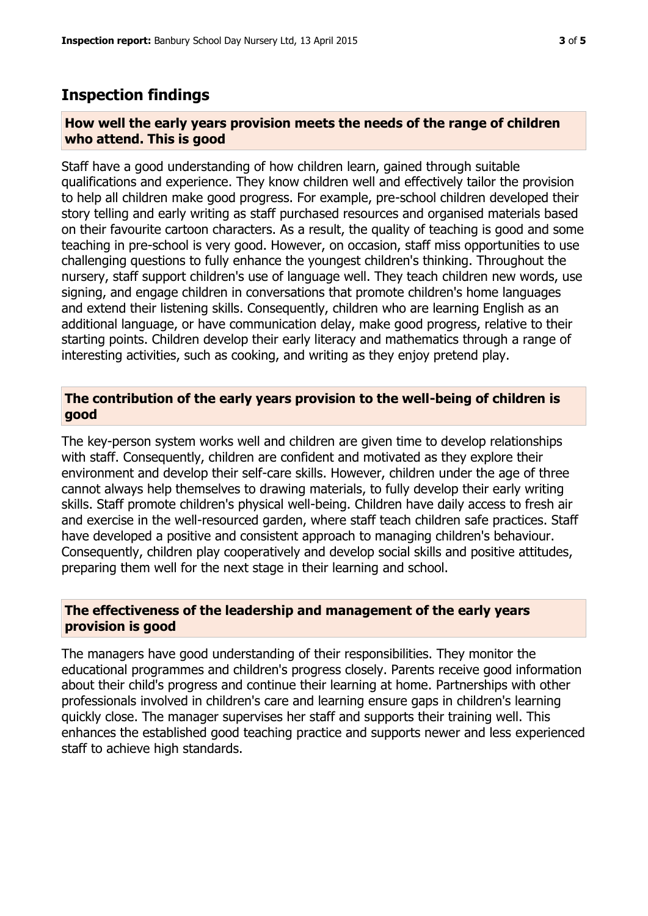# **Inspection findings**

#### **How well the early years provision meets the needs of the range of children who attend. This is good**

Staff have a good understanding of how children learn, gained through suitable qualifications and experience. They know children well and effectively tailor the provision to help all children make good progress. For example, pre-school children developed their story telling and early writing as staff purchased resources and organised materials based on their favourite cartoon characters. As a result, the quality of teaching is good and some teaching in pre-school is very good. However, on occasion, staff miss opportunities to use challenging questions to fully enhance the youngest children's thinking. Throughout the nursery, staff support children's use of language well. They teach children new words, use signing, and engage children in conversations that promote children's home languages and extend their listening skills. Consequently, children who are learning English as an additional language, or have communication delay, make good progress, relative to their starting points. Children develop their early literacy and mathematics through a range of interesting activities, such as cooking, and writing as they enjoy pretend play.

## **The contribution of the early years provision to the well-being of children is good**

The key-person system works well and children are given time to develop relationships with staff. Consequently, children are confident and motivated as they explore their environment and develop their self-care skills. However, children under the age of three cannot always help themselves to drawing materials, to fully develop their early writing skills. Staff promote children's physical well-being. Children have daily access to fresh air and exercise in the well-resourced garden, where staff teach children safe practices. Staff have developed a positive and consistent approach to managing children's behaviour. Consequently, children play cooperatively and develop social skills and positive attitudes, preparing them well for the next stage in their learning and school.

## **The effectiveness of the leadership and management of the early years provision is good**

The managers have good understanding of their responsibilities. They monitor the educational programmes and children's progress closely. Parents receive good information about their child's progress and continue their learning at home. Partnerships with other professionals involved in children's care and learning ensure gaps in children's learning quickly close. The manager supervises her staff and supports their training well. This enhances the established good teaching practice and supports newer and less experienced staff to achieve high standards.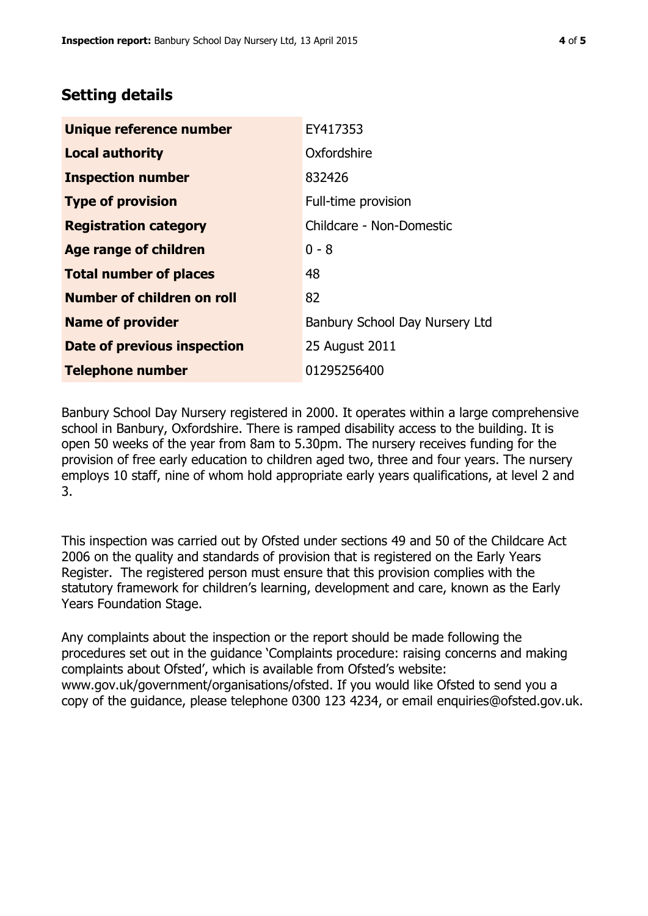# **Setting details**

| Unique reference number       | EY417353                       |  |
|-------------------------------|--------------------------------|--|
| <b>Local authority</b>        | Oxfordshire                    |  |
| <b>Inspection number</b>      | 832426                         |  |
| <b>Type of provision</b>      | Full-time provision            |  |
| <b>Registration category</b>  | Childcare - Non-Domestic       |  |
| <b>Age range of children</b>  | $0 - 8$                        |  |
| <b>Total number of places</b> | 48                             |  |
| Number of children on roll    | 82                             |  |
| <b>Name of provider</b>       | Banbury School Day Nursery Ltd |  |
| Date of previous inspection   | 25 August 2011                 |  |
| <b>Telephone number</b>       | 01295256400                    |  |

Banbury School Day Nursery registered in 2000. It operates within a large comprehensive school in Banbury, Oxfordshire. There is ramped disability access to the building. It is open 50 weeks of the year from 8am to 5.30pm. The nursery receives funding for the provision of free early education to children aged two, three and four years. The nursery employs 10 staff, nine of whom hold appropriate early years qualifications, at level 2 and 3.

This inspection was carried out by Ofsted under sections 49 and 50 of the Childcare Act 2006 on the quality and standards of provision that is registered on the Early Years Register. The registered person must ensure that this provision complies with the statutory framework for children's learning, development and care, known as the Early Years Foundation Stage.

Any complaints about the inspection or the report should be made following the procedures set out in the guidance 'Complaints procedure: raising concerns and making complaints about Ofsted', which is available from Ofsted's website: www.gov.uk/government/organisations/ofsted. If you would like Ofsted to send you a copy of the guidance, please telephone 0300 123 4234, or email enquiries@ofsted.gov.uk.